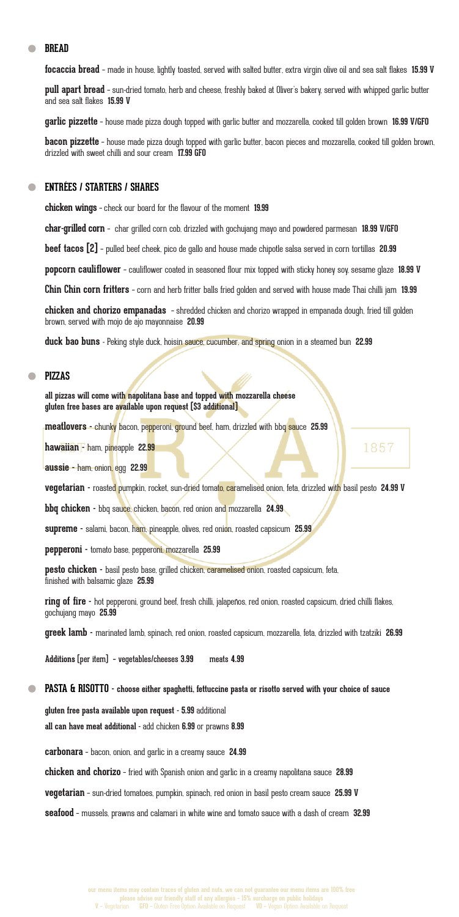**our menu items may contain traces of gluten and nuts, we can not guarantee our menu items are 100% free please advise our friendly staff of any allergies – 15% surcharge on public holidays V –** Vegetarian **GFO –** Gluten Free Option Available on Request **VO –** Vegan Option Available on Request

**pull apart bread** – sun-dried tomato, herb and cheese, freshly baked at Oliver's bakery, served with whipped garlic butter and sea salt flakes **15.99 V**

## **BREAD**

**focaccia bread** – made in house, lightly toasted, served with salted butter, extra virgin olive oil and sea salt flakes **15.99 V**

**garlic pizzette** – house made pizza dough topped with garlic butter and mozzarella, cooked till golden brown **16.99 V/GFO**

**bacon pizzette** – house made pizza dough topped with garlic butter, bacon pieces and mozzarella, cooked till golden brown, drizzled with sweet chilli and sour cream **17.99 GFO**

## **ENTRÉES / STARTERS / SHARES**

**chicken wings** – check our board for the flavour of the moment **19.99**

**char-grilled corn** – char grilled corn cob, drizzled with gochujang mayo and powdered parmesan **18.99 V/GFO**

**beef tacos [2]** – pulled beef cheek, pico de gallo and house made chipotle salsa served in corn tortillas **20.99** 

**popcorn cauliflower** – cauliflower coated in seasoned flour mix topped with sticky honey soy, sesame glaze **18.99 V** 

**Chin Chin corn fritters** – corn and herb fritter balls fried golden and served with house made Thai chilli jam **19.99**

**chicken and chorizo empanadas** – shredded chicken and chorizo wrapped in empanada dough, fried till golden brown, served with mojo de ajo mayonnaise **20.99**

**duck bao buns** - Peking style duck, hoisin sauce, cucumber, and spring onion in a steamed bun **22.99** 

### **PIZZAS**

**all pizzas will come with napolitana base and topped with mozzarella cheese gluten free bases are available upon request (\$3 additional)**

**meatlovers -** chunky bacon, pepperoni, ground beef, ham, drizzled with bbq sauce **25.99**

**hawaiian -** ham, pineapple **22.99** 

**aussie -** ham, onion, egg **22.99**

**vegetarian -** roasted pumpkin, rocket, sun-dried tomato, caramelised onion, feta, drizzled with basil pesto **24.99 V**

**bbq chicken** - bbq sauce, chicken, bacon, red onion and mozzarella **24.99** 

**supreme -** salami, bacon, ham, pineapple, olives, red onion, roasted capsicum **25.99**

**pepperoni -** tomato base, pepperoni, mozzarella **25.99**

**pesto chicken -** basil pesto base, grilled chicken, caramelised onion, roasted capsicum, feta, finished with balsamic glaze **25.99**

**ring of fire -** hot pepperoni, ground beef, fresh chilli, jalapeños, red onion, roasted capsicum, dried chilli flakes, gochujang mayo **25.99** 

**greek lamb -** marinated lamb, spinach, red onion, roasted capsicum, mozzarella, feta, drizzled with tzatziki **26.99**

**Additions** (per item) **–** vegetables/cheeses **3.99** meats **4.99**

### **PASTA & RISOTTO - choose either spaghetti, fettuccine pasta or risotto served with your choice of sauce**

# 1857

**gluten free pasta available upon request - 5.99** additional **all can have meat additional** - add chicken **6.99** or prawns **8.99**

**carbonara** – bacon, onion, and garlic in a creamy sauce **24.99**

**chicken and chorizo** – fried with Spanish onion and garlic in a creamy napolitana sauce **28.99**

**vegetarian** – sun-dried tomatoes, pumpkin, spinach, red onion in basil pesto cream sauce **25.99 V**

**seafood** – mussels, prawns and calamari in white wine and tomato sauce with a dash of cream **32.99**